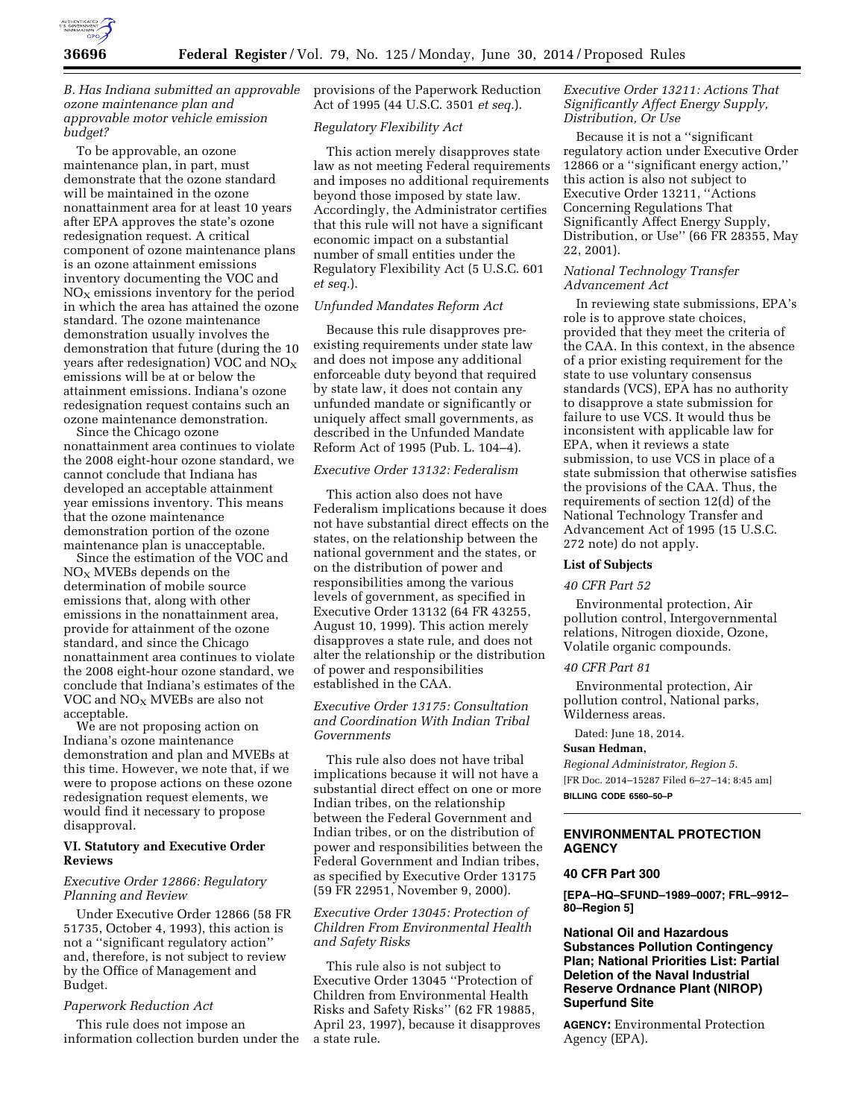

# *B. Has Indiana submitted an approvable ozone maintenance plan and approvable motor vehicle emission budget?*

To be approvable, an ozone maintenance plan, in part, must demonstrate that the ozone standard will be maintained in the ozone nonattainment area for at least 10 years after EPA approves the state's ozone redesignation request. A critical component of ozone maintenance plans is an ozone attainment emissions inventory documenting the VOC and  $NO<sub>x</sub>$  emissions inventory for the period in which the area has attained the ozone standard. The ozone maintenance demonstration usually involves the demonstration that future (during the 10 years after redesignation) VOC and  $NO<sub>x</sub>$ emissions will be at or below the attainment emissions. Indiana's ozone redesignation request contains such an ozone maintenance demonstration.

Since the Chicago ozone nonattainment area continues to violate the 2008 eight-hour ozone standard, we cannot conclude that Indiana has developed an acceptable attainment year emissions inventory. This means that the ozone maintenance demonstration portion of the ozone maintenance plan is unacceptable.

Since the estimation of the VOC and  $NO<sub>X</sub>$  MVEBs depends on the determination of mobile source emissions that, along with other emissions in the nonattainment area, provide for attainment of the ozone standard, and since the Chicago nonattainment area continues to violate the 2008 eight-hour ozone standard, we conclude that Indiana's estimates of the VOC and  $NO<sub>X</sub>$  MVEBs are also not acceptable.

We are not proposing action on Indiana's ozone maintenance demonstration and plan and MVEBs at this time. However, we note that, if we were to propose actions on these ozone redesignation request elements, we would find it necessary to propose disapproval.

## **VI. Statutory and Executive Order Reviews**

# *Executive Order 12866: Regulatory Planning and Review*

Under Executive Order 12866 (58 FR 51735, October 4, 1993), this action is not a ''significant regulatory action'' and, therefore, is not subject to review by the Office of Management and Budget.

#### *Paperwork Reduction Act*

This rule does not impose an information collection burden under the provisions of the Paperwork Reduction Act of 1995 (44 U.S.C. 3501 *et seq.*).

## *Regulatory Flexibility Act*

This action merely disapproves state law as not meeting Federal requirements and imposes no additional requirements beyond those imposed by state law. Accordingly, the Administrator certifies that this rule will not have a significant economic impact on a substantial number of small entities under the Regulatory Flexibility Act (5 U.S.C. 601 *et seq.*).

## *Unfunded Mandates Reform Act*

Because this rule disapproves preexisting requirements under state law and does not impose any additional enforceable duty beyond that required by state law, it does not contain any unfunded mandate or significantly or uniquely affect small governments, as described in the Unfunded Mandate Reform Act of 1995 (Pub. L. 104–4).

# *Executive Order 13132: Federalism*

This action also does not have Federalism implications because it does not have substantial direct effects on the states, on the relationship between the national government and the states, or on the distribution of power and responsibilities among the various levels of government, as specified in Executive Order 13132 (64 FR 43255, August 10, 1999). This action merely disapproves a state rule, and does not alter the relationship or the distribution of power and responsibilities established in the CAA.

# *Executive Order 13175: Consultation and Coordination With Indian Tribal Governments*

This rule also does not have tribal implications because it will not have a substantial direct effect on one or more Indian tribes, on the relationship between the Federal Government and Indian tribes, or on the distribution of power and responsibilities between the Federal Government and Indian tribes, as specified by Executive Order 13175 (59 FR 22951, November 9, 2000).

# *Executive Order 13045: Protection of Children From Environmental Health and Safety Risks*

This rule also is not subject to Executive Order 13045 ''Protection of Children from Environmental Health Risks and Safety Risks'' (62 FR 19885, April 23, 1997), because it disapproves a state rule.

# *Executive Order 13211: Actions That Significantly Affect Energy Supply, Distribution, Or Use*

Because it is not a ''significant regulatory action under Executive Order 12866 or a ''significant energy action,'' this action is also not subject to Executive Order 13211, ''Actions Concerning Regulations That Significantly Affect Energy Supply, Distribution, or Use'' (66 FR 28355, May 22, 2001).

## *National Technology Transfer Advancement Act*

In reviewing state submissions, EPA's role is to approve state choices, provided that they meet the criteria of the CAA. In this context, in the absence of a prior existing requirement for the state to use voluntary consensus standards (VCS), EPA has no authority to disapprove a state submission for failure to use VCS. It would thus be inconsistent with applicable law for EPA, when it reviews a state submission, to use VCS in place of a state submission that otherwise satisfies the provisions of the CAA. Thus, the requirements of section 12(d) of the National Technology Transfer and Advancement Act of 1995 (15 U.S.C. 272 note) do not apply.

#### **List of Subjects**

#### *40 CFR Part 52*

Environmental protection, Air pollution control, Intergovernmental relations, Nitrogen dioxide, Ozone, Volatile organic compounds.

#### *40 CFR Part 81*

Environmental protection, Air pollution control, National parks, Wilderness areas.

Dated: June 18, 2014.

## **Susan Hedman,**

*Regional Administrator, Region 5.*  [FR Doc. 2014–15287 Filed 6–27–14; 8:45 am] **BILLING CODE 6560–50–P** 

# **ENVIRONMENTAL PROTECTION AGENCY**

#### **40 CFR Part 300**

**[EPA–HQ–SFUND–1989–0007; FRL–9912– 80–Region 5]** 

# **National Oil and Hazardous Substances Pollution Contingency Plan; National Priorities List: Partial Deletion of the Naval Industrial Reserve Ordnance Plant (NIROP) Superfund Site**

**AGENCY:** Environmental Protection Agency (EPA).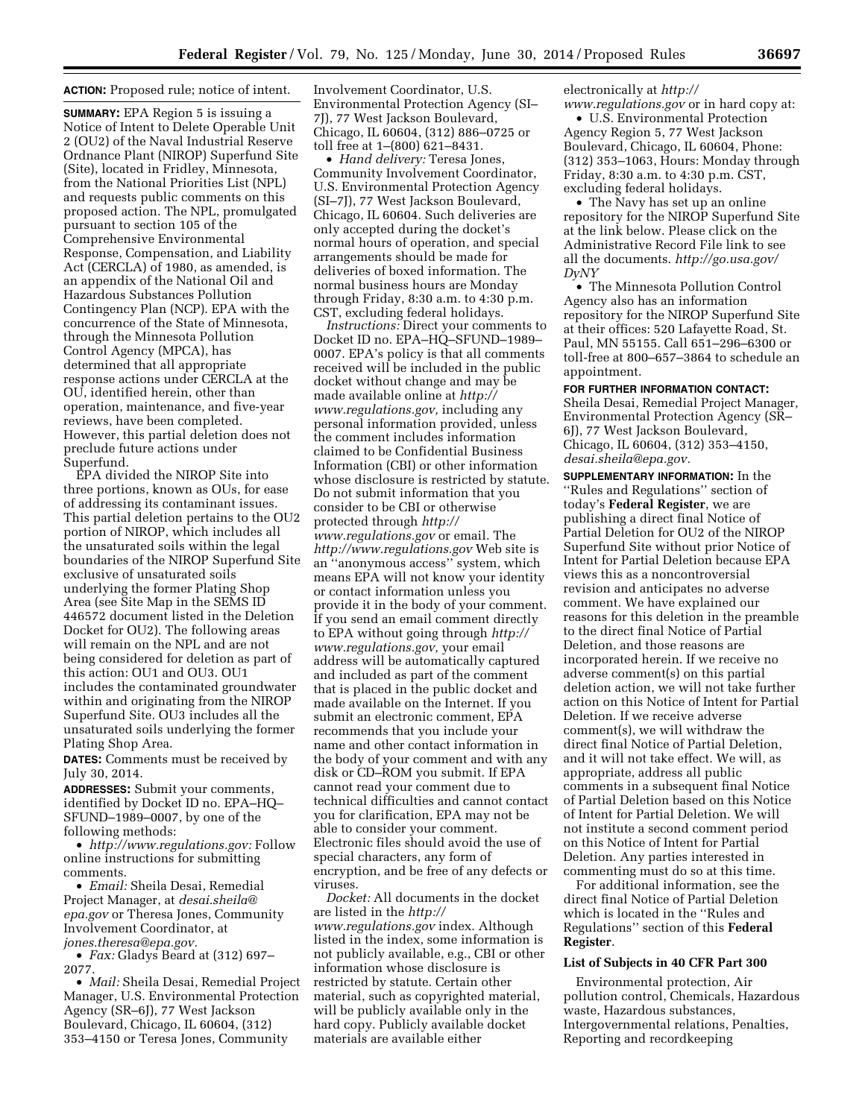## **ACTION:** Proposed rule; notice of intent.

**SUMMARY:** EPA Region 5 is issuing a Notice of Intent to Delete Operable Unit 2 (OU2) of the Naval Industrial Reserve Ordnance Plant (NIROP) Superfund Site (Site), located in Fridley, Minnesota, from the National Priorities List (NPL) and requests public comments on this proposed action. The NPL, promulgated pursuant to section 105 of the Comprehensive Environmental Response, Compensation, and Liability Act (CERCLA) of 1980, as amended, is an appendix of the National Oil and Hazardous Substances Pollution Contingency Plan (NCP). EPA with the concurrence of the State of Minnesota, through the Minnesota Pollution Control Agency (MPCA), has determined that all appropriate response actions under CERCLA at the OU, identified herein, other than operation, maintenance, and five-year reviews, have been completed. However, this partial deletion does not preclude future actions under Superfund.

EPA divided the NIROP Site into three portions, known as OUs, for ease of addressing its contaminant issues. This partial deletion pertains to the OU2 portion of NIROP, which includes all the unsaturated soils within the legal boundaries of the NIROP Superfund Site exclusive of unsaturated soils underlying the former Plating Shop Area (see Site Map in the SEMS ID 446572 document listed in the Deletion Docket for OU2). The following areas will remain on the NPL and are not being considered for deletion as part of this action: OU1 and OU3. OU1 includes the contaminated groundwater within and originating from the NIROP Superfund Site. OU3 includes all the unsaturated soils underlying the former Plating Shop Area.

**DATES:** Comments must be received by July 30, 2014.

**ADDRESSES:** Submit your comments, identified by Docket ID no. EPA–HQ– SFUND–1989–0007, by one of the following methods:

• *[http://www.regulations.gov:](http://www.regulations.gov)* Follow online instructions for submitting comments.

• *Email:* Sheila Desai, Remedial Project Manager, at *[desai.sheila@](mailto:desai.sheila@epa.gov) [epa.gov](mailto:desai.sheila@epa.gov)* or Theresa Jones, Community Involvement Coordinator, at *[jones.theresa@epa.gov.](mailto:jones.theresa@epa.gov)* 

• *Fax:* Gladys Beard at (312) 697– 2077.

• *Mail:* Sheila Desai, Remedial Project Manager, U.S. Environmental Protection Agency (SR–6J), 77 West Jackson Boulevard, Chicago, IL 60604, (312) 353–4150 or Teresa Jones, Community

Involvement Coordinator, U.S. Environmental Protection Agency (SI– 7J), 77 West Jackson Boulevard, Chicago, IL 60604, (312) 886–0725 or toll free at 1–(800) 621–8431.

• *Hand delivery:* Teresa Jones, Community Involvement Coordinator, U.S. Environmental Protection Agency (SI–7J), 77 West Jackson Boulevard, Chicago, IL 60604. Such deliveries are only accepted during the docket's normal hours of operation, and special arrangements should be made for deliveries of boxed information. The normal business hours are Monday through Friday, 8:30 a.m. to 4:30 p.m. CST, excluding federal holidays.

*Instructions:* Direct your comments to Docket ID no. EPA–HQ–SFUND–1989– 0007. EPA's policy is that all comments received will be included in the public docket without change and may be made available online at *[http://](http://www.regulations.gov) [www.regulations.gov,](http://www.regulations.gov)* including any personal information provided, unless the comment includes information claimed to be Confidential Business Information (CBI) or other information whose disclosure is restricted by statute. Do not submit information that you consider to be CBI or otherwise protected through *[http://](http://www.regulations.gov) [www.regulations.gov](http://www.regulations.gov)* or email. The *<http://www.regulations.gov>* Web site is an ''anonymous access'' system, which means EPA will not know your identity or contact information unless you provide it in the body of your comment. If you send an email comment directly to EPA without going through *[http://](http://www.regulations.gov) [www.regulations.gov,](http://www.regulations.gov)* your email address will be automatically captured and included as part of the comment that is placed in the public docket and made available on the Internet. If you submit an electronic comment, EPA recommends that you include your name and other contact information in the body of your comment and with any disk or CD–ROM you submit. If EPA cannot read your comment due to technical difficulties and cannot contact you for clarification, EPA may not be able to consider your comment. Electronic files should avoid the use of special characters, any form of encryption, and be free of any defects or viruses.

*Docket:* All documents in the docket are listed in the *[http://](http://www.regulations.gov) [www.regulations.gov](http://www.regulations.gov)* index. Although listed in the index, some information is not publicly available, e.g., CBI or other information whose disclosure is restricted by statute. Certain other material, such as copyrighted material, will be publicly available only in the hard copy. Publicly available docket materials are available either

electronically at *[http://](http://www.regulations.gov)*

*[www.regulations.gov](http://www.regulations.gov)* or in hard copy at: • U.S. Environmental Protection Agency Region 5, 77 West Jackson Boulevard, Chicago, IL 60604, Phone: (312) 353–1063, Hours: Monday through

Friday, 8:30 a.m. to 4:30 p.m. CST, excluding federal holidays. • The Navy has set up an online

repository for the NIROP Superfund Site at the link below. Please click on the Administrative Record File link to see all the documents. *[http://go.usa.gov/](http://go.usa.gov/DyNY) [DyNY](http://go.usa.gov/DyNY)* 

• The Minnesota Pollution Control Agency also has an information repository for the NIROP Superfund Site at their offices: 520 Lafayette Road, St. Paul, MN 55155. Call 651–296–6300 or toll-free at 800–657–3864 to schedule an appointment.

# **FOR FURTHER INFORMATION CONTACT:**

Sheila Desai, Remedial Project Manager, Environmental Protection Agency (SR– 6J), 77 West Jackson Boulevard, Chicago, IL 60604, (312) 353–4150, *[desai.sheila@epa.gov.](mailto:desai.sheila@epa.gov)* 

**SUPPLEMENTARY INFORMATION:** In the ''Rules and Regulations'' section of today's **Federal Register**, we are publishing a direct final Notice of Partial Deletion for OU2 of the NIROP Superfund Site without prior Notice of Intent for Partial Deletion because EPA views this as a noncontroversial revision and anticipates no adverse comment. We have explained our reasons for this deletion in the preamble to the direct final Notice of Partial Deletion, and those reasons are incorporated herein. If we receive no adverse comment(s) on this partial deletion action, we will not take further action on this Notice of Intent for Partial Deletion. If we receive adverse comment(s), we will withdraw the direct final Notice of Partial Deletion, and it will not take effect. We will, as appropriate, address all public comments in a subsequent final Notice of Partial Deletion based on this Notice of Intent for Partial Deletion. We will not institute a second comment period on this Notice of Intent for Partial Deletion. Any parties interested in commenting must do so at this time.

For additional information, see the direct final Notice of Partial Deletion which is located in the ''Rules and Regulations'' section of this **Federal Register**.

#### **List of Subjects in 40 CFR Part 300**

Environmental protection, Air pollution control, Chemicals, Hazardous waste, Hazardous substances, Intergovernmental relations, Penalties, Reporting and recordkeeping